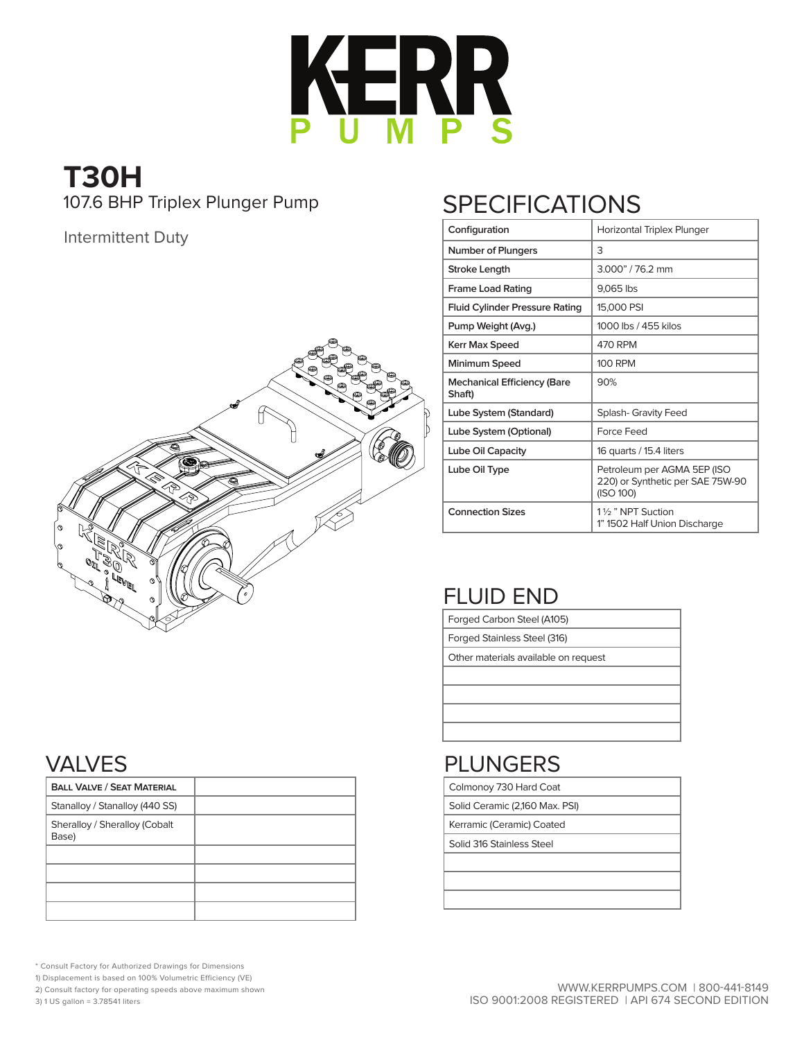

# **T30H** 107.6 BHP Triplex Plunger Pump

#### Intermittent Duty



# **SPECIFICATIONS**

| Configuration                                | Horizontal Triplex Plunger                                                   |
|----------------------------------------------|------------------------------------------------------------------------------|
| <b>Number of Plungers</b>                    | 3                                                                            |
| Stroke Length                                | 3.000" / 76.2 mm                                                             |
| <b>Frame Load Rating</b>                     | 9,065 lbs                                                                    |
| <b>Fluid Cylinder Pressure Rating</b>        | 15,000 PSI                                                                   |
| Pump Weight (Avg.)                           | 1000 lbs / 455 kilos                                                         |
| <b>Kerr Max Speed</b>                        | 470 RPM                                                                      |
| Minimum Speed                                | <b>100 RPM</b>                                                               |
| <b>Mechanical Efficiency (Bare</b><br>Shaft) | 90%                                                                          |
| Lube System (Standard)                       | <b>Splash- Gravity Feed</b>                                                  |
| Lube System (Optional)                       | Force Feed                                                                   |
| Lube Oil Capacity                            | 16 quarts / 15.4 liters                                                      |
| Lube Oil Type                                | Petroleum per AGMA 5EP (ISO<br>220) or Synthetic per SAE 75W-90<br>(ISO 100) |
| <b>Connection Sizes</b>                      | 11/ <sub>2</sub> " NPT Suction<br>1" 1502 Half Union Discharge               |

## FLUID END

Forged Carbon Steel (A105)

Forged Stainless Steel (316)

Other materials available on request

### PLUNGERS

Colmonoy 730 Hard Coat

Solid Ceramic (2,160 Max. PSI)

Kerramic (Ceramic) Coated

Solid 316 Stainless Steel

#### VALVES

| <b>BALL VALVE / SEAT MATERIAL</b>      |  |
|----------------------------------------|--|
| Stanalloy / Stanalloy (440 SS)         |  |
| Sheralloy / Sheralloy (Cobalt<br>Base) |  |
|                                        |  |
|                                        |  |
|                                        |  |
|                                        |  |

\* Consult Factory for Authorized Drawings for Dimensions

1) Displacement is based on 100% Volumetric Efficiency (VE)

2) Consult factory for operating speeds above maximum shown

3) 1 US gallon = 3.78541 liters